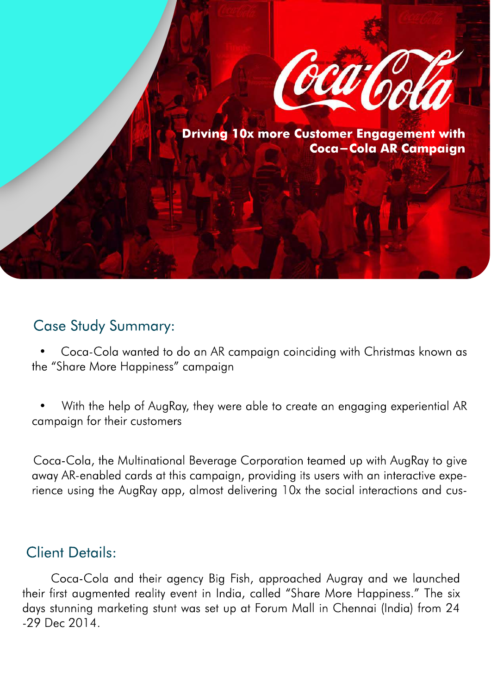

**Driving 10x more Customer Engagement with Coca-Cola AR Campaign**

#### Case Study Summary:

 • Coca-Cola wanted to do an AR campaign coinciding with Christmas known as the "Share More Happiness" campaign

 • With the help of AugRay, they were able to create an engaging experiential AR campaign for their customers

 Coca-Cola, the Multinational Beverage Corporation teamed up with AugRay to give away AR-enabled cards at this campaign, providing its users with an interactive experience using the AugRay app, almost delivering 10x the social interactions and cus-

### Client Details:

 Coca-Cola and their agency Big Fish, approached Augray and we launched their first augmented reality event in India, called "Share More Happiness." The six days stunning marketing stunt was set up at Forum Mall in Chennai (India) from 24 -29 Dec 2014.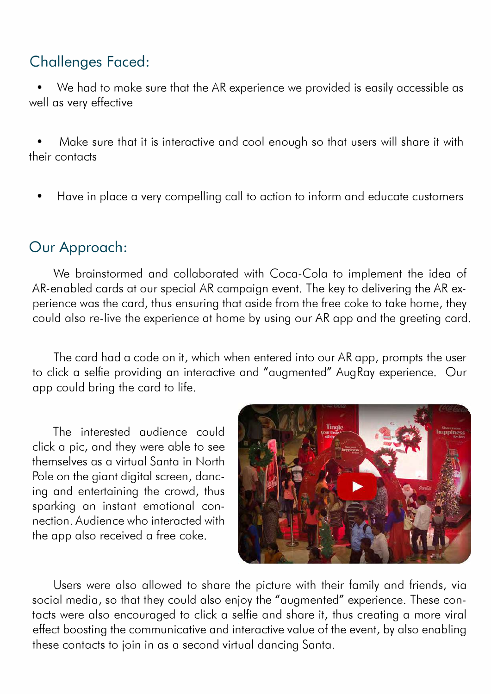# **Challenges Faced:**

• We had to make sure that the AR experience we provided is easily accessible as well as very effective

• Make sure that it is interactive and cool enough so that users will share it with their contacts

• Have in place a very compelling call to action to inform and educate customers

# **Our Approach:**

We brainstormed and collaborated with Coca-Cola to implement the idea of AR-enabled cards at our special AR campaign event. The key to delivering the AR experience was the card, thus ensuring that aside from the free coke to take home, they could also re-live the experience at home by using our AR opp and the greeting card.

The card had a code on it, which when entered into our AR opp, prompts the user to click a selfie providing an interactive and "augmented" Aug Ray experience. Our opp could bring the card to life.

The interested audience could click a pie, and they were able to see themselves as a virtual Santa in North Pole on the giant digital screen, dancing and entertaining the crowd, thus sparking an instant emotional connection. Audience who interacted with the opp also received a free coke.



Users were also allowed to share the picture with their family and friends, via social media, so that they could also enjoy the "augmented" experience. These contacts were also encouraged to click a selfie and share it, thus creating a more viral effect boosting the communicative and interactive value of the event, by also enabling these contacts to join in as a second virtual dancing Santa.